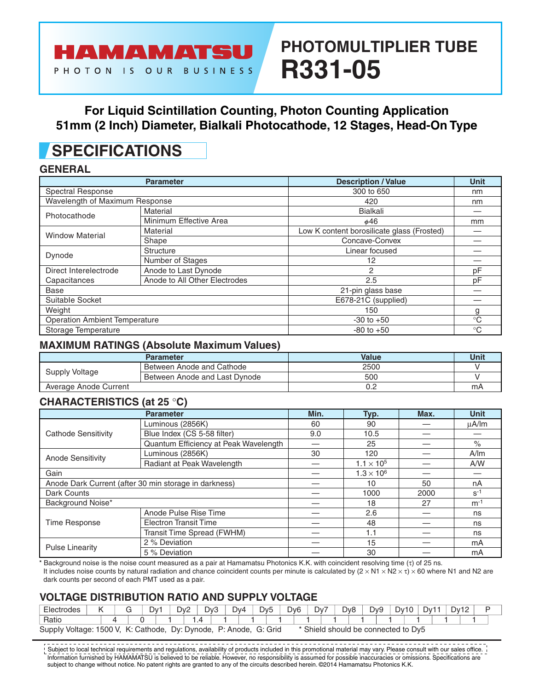# **PHOTOMULTIPLIER TUBE R331-05**

### **For Liquid Scintillation Counting, Photon Counting Application 51mm (2 Inch) Diameter, Bialkali Photocathode, 12 Stages, Head-On Type**

# **SPECIFICATIONS**

HAMAMATSU

PHOTON IS OUR BUSINESS

#### **GENERAL**

|                                      | <b>Parameter</b>              | <b>Description / Value</b>                 | <b>Unit</b> |
|--------------------------------------|-------------------------------|--------------------------------------------|-------------|
| <b>Spectral Response</b>             |                               | 300 to 650                                 | nm          |
| Wavelength of Maximum Response       |                               | 420                                        | nm          |
| Photocathode                         | Material                      | Bialkali                                   |             |
|                                      | Minimum Effective Area        | $\phi$ 46                                  | mm          |
| <b>Window Material</b>               | Material                      | Low K content borosilicate glass (Frosted) |             |
|                                      | Shape                         | Concave-Convex                             |             |
| Dynode                               | <b>Structure</b>              | Linear focused                             |             |
|                                      | Number of Stages              | 12                                         |             |
| Direct Interelectrode                | Anode to Last Dynode          | 2                                          | pF          |
| Capacitances                         | Anode to All Other Electrodes | 2.5                                        | pF          |
| Base                                 |                               | 21-pin glass base                          |             |
| Suitable Socket                      |                               | E678-21C (supplied)                        |             |
| Weight                               |                               | 150                                        | g           |
| <b>Operation Ambient Temperature</b> |                               | $-30$ to $+50$                             | $^{\circ}C$ |
| Storage Temperature                  |                               | $-80$ to $+50$                             | $^{\circ}C$ |

#### **MAXIMUM RATINGS (Absolute Maximum Values)**

|                       | <b>Parameter</b>              | <b>Value</b> | Unit |
|-----------------------|-------------------------------|--------------|------|
| Supply Voltage        | Between Anode and Cathode     | 2500         |      |
|                       | Between Anode and Last Dynode | 500          |      |
| Average Anode Current |                               | U.Z          | mA   |

#### **CHARACTERISTICS (at 25** °**C)**

|                            | <b>Parameter</b>                                      | Min. | Typ.                | Max. | <b>Unit</b> |
|----------------------------|-------------------------------------------------------|------|---------------------|------|-------------|
|                            | Luminous (2856K)                                      | 60   | 90                  |      | uA/lm       |
| <b>Cathode Sensitivity</b> | Blue Index (CS 5-58 filter)                           | 9.0  | 10.5                |      |             |
|                            | Quantum Efficiency at Peak Wavelength                 |      | 25                  |      | $\%$        |
|                            | Luminous (2856K)                                      | 30   | 120                 |      | A/m         |
| Anode Sensitivity          | Radiant at Peak Wavelength                            |      | $1.1 \times 10^{5}$ |      | A/W         |
| Gain                       |                                                       |      | $1.3 \times 10^{6}$ |      |             |
|                            | Anode Dark Current (after 30 min storage in darkness) |      | 10                  | 50   | nA          |
| Dark Counts                |                                                       |      | 1000                | 2000 | $S^{-1}$    |
| Background Noise*          |                                                       |      | 18                  | 27   | $m-1$       |
|                            | Anode Pulse Rise Time                                 |      | 2.6                 |      | ns          |
| <b>Time Response</b>       | <b>Electron Transit Time</b>                          |      | 48                  |      | ns          |
|                            | Transit Time Spread (FWHM)                            |      | 1.1                 |      | ns          |
| <b>Pulse Linearity</b>     | 2 % Deviation                                         |      | 15                  |      | mA          |
|                            | 5 % Deviation                                         |      | 30                  |      | mA          |

\* Background noise is the noise count measured as a pair at Hamamatsu Photonics K.K. with coincident resolving time (τ) of 25 ns. It includes noise counts by natural radiation and chance coincident counts per minute is calculated by  $(2 \times N1 \times N2 \times \tau) \times 60$  where N1 and N2 are dark counts per second of each PMT used as a pair.

### **VOLTAGE DlSTRlBUTlON RATlO AND SUPPLY VOLTAGE**

| Electrodes                                                                      |  |  | ت | Dv <sup>-</sup> |  | $Dv^2$ | Dv3 |     | Dv4   | Dv5 |         | D <sub>v</sub> <sub>6</sub> | -<br>⊃∨    | Dv8<br>້ |      | Dv9       | Dv1 |                          | ∿רי | 1.11 <sup>4</sup> |  |
|---------------------------------------------------------------------------------|--|--|---|-----------------|--|--------|-----|-----|-------|-----|---------|-----------------------------|------------|----------|------|-----------|-----|--------------------------|-----|-------------------|--|
| Ratio                                                                           |  |  |   |                 |  |        |     |     |       |     |         |                             |            |          |      |           |     |                          |     |                   |  |
| $\mathcal{L}$<br>500<br>Cathode,<br>Supply<br>: Dynode,<br>Dv:<br>Voltage:<br>M |  |  |   |                 |  |        |     | י ש | Anode |     | G: Grid |                             | * Shiela 、 | should   | pe e | connected |     | Dv <sub>5</sub><br>∶to ⊾ |     |                   |  |

. . . . . . . . . . . . . . . Subject to local technical requirements and regulations, availability of products included in this promotional material may vary. Please consult with our sales office. Information furnished by HAMAMATSU is believed to be reliable. However, no responsibility is assumed for possible inaccuracies or omissions. Specifications are subject to change without notice. No patent rights are granted to any of the circuits described herein. ©2014 Hamamatsu Photonics K.K.